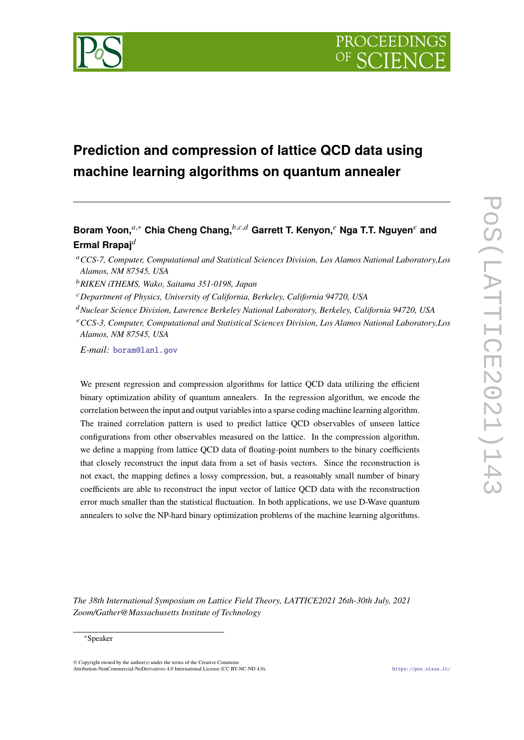

# **Prediction and compression of lattice QCD data using machine learning algorithms on quantum annealer**

## **Boram Yoon,**<sup>a,∗</sup> Chia Cheng Chang,<sup>b,c,d</sup> Garrett T. Kenyon,<sup>*e*</sup> Nga T.T. Nguyen<sup>*e*</sup> and **Ermal Rrapaj**

*RIKEN iTHEMS, Wako, Saitama 351-0198, Japan*

*Department of Physics, University of California, Berkeley, California 94720, USA*

*Nuclear Science Division, Lawrence Berkeley National Laboratory, Berkeley, California 94720, USA*

*E-mail:* [boram@lanl.gov](mailto:boram@lanl.gov)

We present regression and compression algorithms for lattice QCD data utilizing the efficient binary optimization ability of quantum annealers. In the regression algorithm, we encode the correlation between the input and output variables into a sparse coding machine learning algorithm. The trained correlation pattern is used to predict lattice QCD observables of unseen lattice configurations from other observables measured on the lattice. In the compression algorithm, we define a mapping from lattice QCD data of floating-point numbers to the binary coefficients that closely reconstruct the input data from a set of basis vectors. Since the reconstruction is not exact, the mapping defines a lossy compression, but, a reasonably small number of binary coefficients are able to reconstruct the input vector of lattice QCD data with the reconstruction error much smaller than the statistical fluctuation. In both applications, we use D-Wave quantum annealers to solve the NP-hard binary optimization problems of the machine learning algorithms.

*The 38th International Symposium on Lattice Field Theory, LATTICE2021 26th-30th July, 2021 Zoom/Gather@Massachusetts Institute of Technology*

© Copyright owned by the author(s) under the terms of the Creative Commons Attribution-NonCommercial-NoDerivatives 4.0 International License (CC BY-NC-ND 4.0). <https://pos.sissa.it/>

*CCS-7, Computer, Computational and Statistical Sciences Division, Los Alamos National Laboratory,Los Alamos, NM 87545, USA*

*CCS-3, Computer, Computational and Statistical Sciences Division, Los Alamos National Laboratory,Los Alamos, NM 87545, USA*

<sup>∗</sup>Speaker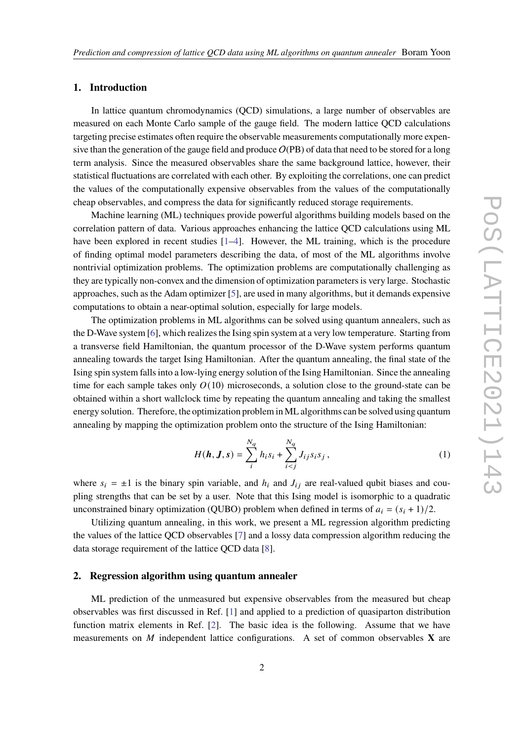#### **1. Introduction**

In lattice quantum chromodynamics (QCD) simulations, a large number of observables are measured on each Monte Carlo sample of the gauge field. The modern lattice QCD calculations targeting precise estimates often require the observable measurements computationally more expensive than the generation of the gauge field and produce  $O(PB)$  of data that need to be stored for a long term analysis. Since the measured observables share the same background lattice, however, their statistical fluctuations are correlated with each other. By exploiting the correlations, one can predict the values of the computationally expensive observables from the values of the computationally cheap observables, and compress the data for significantly reduced storage requirements.

Machine learning (ML) techniques provide powerful algorithms building models based on the correlation pattern of data. Various approaches enhancing the lattice QCD calculations using ML have been explored in recent studies [\[1–](#page-6-0)[4\]](#page-7-0). However, the ML training, which is the procedure of finding optimal model parameters describing the data, of most of the ML algorithms involve nontrivial optimization problems. The optimization problems are computationally challenging as they are typically non-convex and the dimension of optimization parameters is very large. Stochastic approaches, such as the Adam optimizer [\[5\]](#page-7-1), are used in many algorithms, but it demands expensive computations to obtain a near-optimal solution, especially for large models.

The optimization problems in ML algorithms can be solved using quantum annealers, such as the D-Wave system [\[6\]](#page-7-2), which realizes the Ising spin system at a very low temperature. Starting from a transverse field Hamiltonian, the quantum processor of the D-Wave system performs quantum annealing towards the target Ising Hamiltonian. After the quantum annealing, the final state of the Ising spin system falls into a low-lying energy solution of the Ising Hamiltonian. Since the annealing time for each sample takes only  $O(10)$  microseconds, a solution close to the ground-state can be obtained within a short wallclock time by repeating the quantum annealing and taking the smallest energy solution. Therefore, the optimization problem in ML algorithms can be solved using quantum annealing by mapping the optimization problem onto the structure of the Ising Hamiltonian:

<span id="page-1-0"></span>
$$
H(\mathbf{h}, \mathbf{J}, \mathbf{s}) = \sum_{i}^{N_q} h_i s_i + \sum_{i < j}^{N_q} J_{ij} s_i s_j \,,\tag{1}
$$

where  $s_i = \pm 1$  is the binary spin variable, and  $h_i$  and  $J_{ij}$  are real-valued qubit biases and coupling strengths that can be set by a user. Note that this Ising model is isomorphic to a quadratic unconstrained binary optimization (QUBO) problem when defined in terms of  $a_i = (s_i + 1)/2$ .

Utilizing quantum annealing, in this work, we present a ML regression algorithm predicting the values of the lattice QCD observables [\[7\]](#page-7-3) and a lossy data compression algorithm reducing the data storage requirement of the lattice QCD data [\[8\]](#page-7-4).

#### **2. Regression algorithm using quantum annealer**

ML prediction of the unmeasured but expensive observables from the measured but cheap observables was first discussed in Ref. [\[1\]](#page-6-0) and applied to a prediction of quasiparton distribution function matrix elements in Ref. [\[2\]](#page-7-5). The basic idea is the following. Assume that we have measurements on  $M$  independent lattice configurations. A set of common observables  $X$  are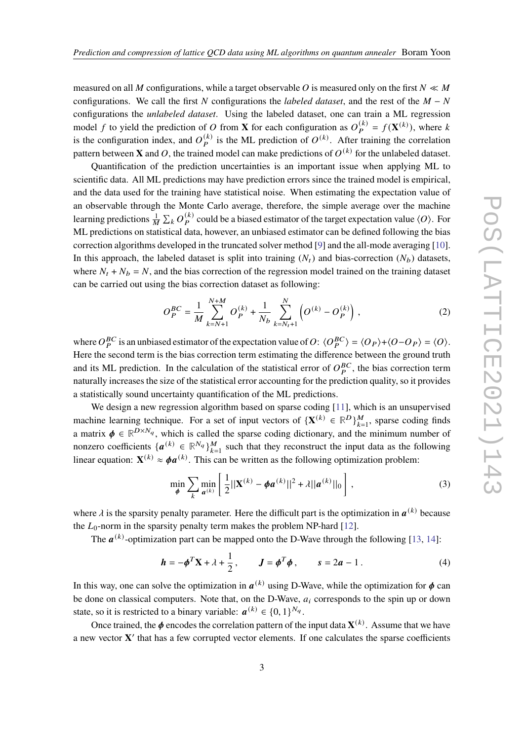measured on all M configurations, while a target observable O is measured only on the first  $N \ll M$ configurations. We call the first N configurations the *labeled dataset*, and the rest of the  $M - N$ configurations the *unlabeled dataset*. Using the labeled dataset, one can train a ML regression model f to yield the prediction of O from **X** for each configuration as  $O_P^{(k)} = f(\mathbf{X}^{(k)})$ , where k is the configuration index, and  $O_P^{(k)}$  is the ML prediction of  $O^{(k)}$ . After training the correlation pattern between **X** and O, the trained model can make predictions of  $O^{(k)}$  for the unlabeled dataset.

Quantification of the prediction uncertainties is an important issue when applying ML to scientific data. All ML predictions may have prediction errors since the trained model is empirical, and the data used for the training have statistical noise. When estimating the expectation value of an observable through the Monte Carlo average, therefore, the simple average over the machine learning predictions  $\frac{1}{M} \sum_k O_P^{(k)}$  could be a biased estimator of the target expectation value  $\langle O \rangle$ . For ML predictions on statistical data, however, an unbiased estimator can be defined following the bias correction algorithms developed in the truncated solver method [\[9\]](#page-7-6) and the all-mode averaging [\[10\]](#page-7-7). In this approach, the labeled dataset is split into training  $(N_t)$  and bias-correction  $(N_b)$  datasets, where  $N_t + N_b = N$ , and the bias correction of the regression model trained on the training dataset can be carried out using the bias correction dataset as following:

<span id="page-2-0"></span>
$$
O_P^{BC} = \frac{1}{M} \sum_{k=N+1}^{N+M} O_P^{(k)} + \frac{1}{N_b} \sum_{k=N_t+1}^{N} \left( O^{(k)} - O_P^{(k)} \right),
$$
 (2)

where  $O_P^{BC}$  is an unbiased estimator of the expectation value of  $O: \langle O_P^{BC} \rangle = \langle O_P \rangle + \langle O - O_P \rangle = \langle O \rangle$ . Here the second term is the bias correction term estimating the difference between the ground truth and its ML prediction. In the calculation of the statistical error of  $O_P^{BC}$ , the bias correction term naturally increases the size of the statistical error accounting for the prediction quality, so it provides a statistically sound uncertainty quantification of the ML predictions.

We design a new regression algorithm based on sparse coding [\[11\]](#page-7-8), which is an unsupervised machine learning technique. For a set of input vectors of  $\{X^{(k)} \in \mathbb{R}^D\}_{k=1}^M$ , sparse coding finds a matrix  $\phi \in \mathbb{R}^{D \times N_q}$ , which is called the sparse coding dictionary, and the minimum number of nonzero coefficients  $\{a^{(k)} \in \mathbb{R}^{N_q}\}_{k=1}^M$  such that they reconstruct the input data as the following linear equation:  $\mathbf{X}^{(k)} \approx \boldsymbol{\phi} \boldsymbol{a}^{(k)}$ . This can be written as the following optimization problem:

$$
\min_{\phi} \sum_{k} \min_{a^{(k)}} \left[ \frac{1}{2} ||\mathbf{X}^{(k)} - \phi \mathbf{a}^{(k)}||^2 + \lambda ||\mathbf{a}^{(k)}||_0 \right],
$$
 (3)

where  $\lambda$  is the sparsity penalty parameter. Here the difficult part is the optimization in  $a^{(k)}$  because the  $L_0$ -norm in the sparsity penalty term makes the problem NP-hard [\[12\]](#page-7-9).

The  $a^{(k)}$ -optimization part can be mapped onto the D-Wave through the following [\[13,](#page-7-10) [14\]](#page-7-11):

$$
\mathbf{h} = -\boldsymbol{\phi}^T \mathbf{X} + \lambda + \frac{1}{2}, \qquad \mathbf{J} = \boldsymbol{\phi}^T \boldsymbol{\phi}, \qquad s = 2a - 1. \tag{4}
$$

In this way, one can solve the optimization in  $a^{(k)}$  using D-Wave, while the optimization for  $\phi$  can be done on classical computers. Note that, on the D-Wave,  $a_i$  corresponds to the spin up or down state, so it is restricted to a binary variable:  $a^{(k)} \in \{0, 1\}^{N_q}$ .

Once trained, the  $\phi$  encodes the correlation pattern of the input data  $\mathbf{X}^{(k)}$ . Assume that we have a new vector **X** ′ that has a few corrupted vector elements. If one calculates the sparse coefficients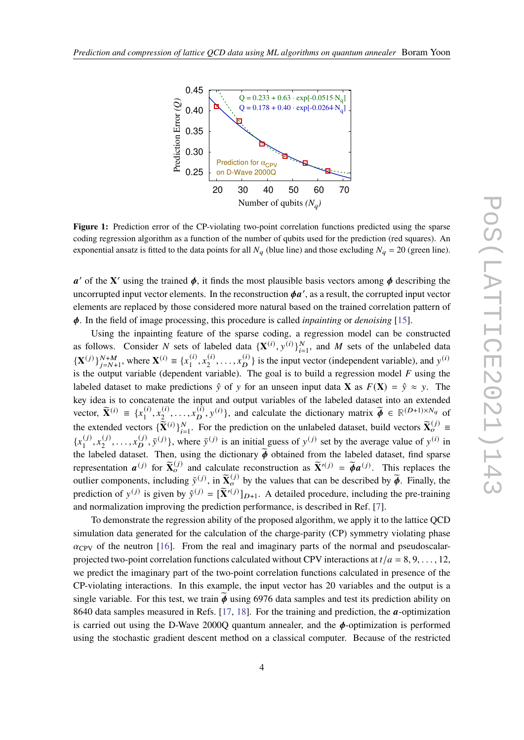<span id="page-3-0"></span>

**Figure 1:** Prediction error of the CP-violating two-point correlation functions predicted using the sparse coding regression algorithm as a function of the number of qubits used for the prediction (red squares). An exponential ansatz is fitted to the data points for all  $N_q$  (blue line) and those excluding  $N_q = 20$  (green line).

 $a'$  of the **X**' using the trained  $\phi$ , it finds the most plausible basis vectors among  $\phi$  describing the uncorrupted input vector elements. In the reconstruction  $\phi a'$ , as a result, the corrupted input vector elements are replaced by those considered more natural based on the trained correlation pattern of . In the field of image processing, this procedure is called *inpainting* or *denoising* [\[15\]](#page-7-12).

Using the inpainting feature of the sparse coding, a regression model can be constructed as follows. Consider N sets of labeled data  $\{X^{(i)}, y^{(i)}\}_{i=1}^N$ , and M sets of the unlabeled data  ${\bf X}^{(j)}\}_{j=N+1}^{N+M}$ , where  ${\bf X}^{(i)} \equiv \{x_1^{(i)}\}$  $\binom{i}{1}, x_2^{(i)}$  $\{a_2^{(i)}, \ldots, x_D^{(i)}\}$  is the input vector (independent variable), and  $y^{(i)}$ is the output variable (dependent variable). The goal is to build a regression model  $F$  using the labeled dataset to make predictions  $\hat{y}$  of y for an unseen input data **X** as  $F(\mathbf{X}) = \hat{y} \approx y$ . The key idea is to concatenate the input and output variables of the labeled dataset into an extended vector,  $\widetilde{\mathbf{X}}^{(i)} \equiv \{x_1^{(i)}\}$  $\binom{i}{1}, x_2^{(i)}$  $\{(\lambda_1, \ldots, \lambda_D^{(\hat{i})}, y^{(\hat{i})}\}$ , and calculate the dictionary matrix  $\widetilde{\boldsymbol{\phi}} \in \mathbb{R}^{(D+1)\times N_q}$  of the extended vectors  $\{\tilde{\bar{\mathbf{X}}}(i)\}_{i=1}^N$ . For the prediction on the unlabeled dataset, build vectors  $\tilde{\mathbf{X}}_o^{(j)} \equiv$  ${x_1^{(j)}}$  $\binom{(j)}{1}, x_2^{(j)}$  $x_2^{(j)}, \ldots, x_D^{(j)}$  $\{(\vec{y}, \vec{y})\}$ , where  $\vec{y}^{(j)}$  is an initial guess of  $y^{(j)}$  set by the average value of  $y^{(i)}$  in the labeled dataset. Then, using the dictionary  $\tilde{\phi}$  obtained from the labeled dataset, find sparse representation  $a^{(j)}$  for  $\widetilde{\mathbf{X}}_o^{(j)}$  and calculate reconstruction as  $\widetilde{\mathbf{X}}^{(j)} = \widetilde{\phi}a^{(j)}$ . This replaces the outlier components, including  $\bar{y}^{(j)}$ , in  $\tilde{\mathbf{X}}_0^{(j)}$  by the values that can be described by  $\tilde{\boldsymbol{\phi}}$ . Finally, the prediction of  $y^{(j)}$  is given by  $\hat{y}^{(j)} = [\tilde{\mathbf{X}}'^{(j)}]_{D+1}$ . A detailed procedure, including the pre-training and normalization improving the prediction performance, is described in Ref. [\[7\]](#page-7-3).

To demonstrate the regression ability of the proposed algorithm, we apply it to the lattice QCD simulation data generated for the calculation of the charge-parity (CP) symmetry violating phase  $\alpha_{\rm CPV}$  of the neutron [\[16\]](#page-8-0). From the real and imaginary parts of the normal and pseudoscalarprojected two-point correlation functions calculated without CPV interactions at  $t/a = 8, 9, \ldots, 12$ , we predict the imaginary part of the two-point correlation functions calculated in presence of the CP-violating interactions. In this example, the input vector has 20 variables and the output is a single variable. For this test, we train  $\phi$  using 6976 data samples and test its prediction ability on 8640 data samples measured in Refs.  $[17, 18]$  $[17, 18]$  $[17, 18]$ . For the training and prediction, the  $\alpha$ -optimization is carried out using the D-Wave 2000Q quantum annealer, and the  $\phi$ -optimization is performed using the stochastic gradient descent method on a classical computer. Because of the restricted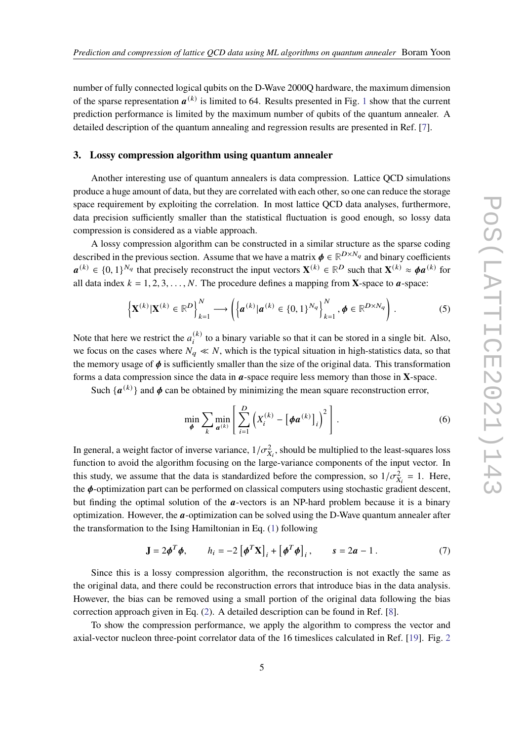number of fully connected logical qubits on the D-Wave 2000Q hardware, the maximum dimension of the sparse representation  $a^{(k)}$  is limited to 64. Results presented in Fig. [1](#page-3-0) show that the current prediction performance is limited by the maximum number of qubits of the quantum annealer. A detailed description of the quantum annealing and regression results are presented in Ref. [\[7\]](#page-7-3).

#### **3. Lossy compression algorithm using quantum annealer**

Another interesting use of quantum annealers is data compression. Lattice QCD simulations produce a huge amount of data, but they are correlated with each other, so one can reduce the storage space requirement by exploiting the correlation. In most lattice QCD data analyses, furthermore, data precision sufficiently smaller than the statistical fluctuation is good enough, so lossy data compression is considered as a viable approach.

A lossy compression algorithm can be constructed in a similar structure as the sparse coding described in the previous section. Assume that we have a matrix  $\phi \in \mathbb{R}^{D \times N_q}$  and binary coefficients  $a^{(k)} \in \{0, 1\}^{N_q}$  that precisely reconstruct the input vectors  $\mathbf{X}^{(k)} \in \mathbb{R}^D$  such that  $\mathbf{X}^{(k)} \approx \boldsymbol{\phi} a^{(k)}$  for all data index  $k = 1, 2, 3, ..., N$ . The procedure defines a mapping from **X**-space to **a**-space:

$$
\left\{ \mathbf{X}^{(k)} | \mathbf{X}^{(k)} \in \mathbb{R}^D \right\}_{k=1}^N \longrightarrow \left( \left\{ \boldsymbol{a}^{(k)} | \boldsymbol{a}^{(k)} \in \{0,1\}^{N_q} \right\}_{k=1}^N, \boldsymbol{\phi} \in \mathbb{R}^{D \times N_q} \right). \tag{5}
$$

Note that here we restrict the  $a_i^{(k)}$  to a binary variable so that it can be stored in a single bit. Also, we focus on the cases where  $N_a \ll N$ , which is the typical situation in high-statistics data, so that the memory usage of  $\phi$  is sufficiently smaller than the size of the original data. This transformation forms a data compression since the data in  $a$ -space require less memory than those in  $X$ -space.

Such  $\{a^{(k)}\}$  and  $\phi$  can be obtained by minimizing the mean square reconstruction error,

$$
\min_{\boldsymbol{\phi}} \sum_{k} \min_{\boldsymbol{a}^{(k)}} \left[ \sum_{i=1}^{D} \left( X_i^{(k)} - \left[ \boldsymbol{\phi} \boldsymbol{a}^{(k)} \right]_i \right)^2 \right]. \tag{6}
$$

In general, a weight factor of inverse variance,  $1/\sigma_{X_i}^2$ , should be multiplied to the least-squares loss function to avoid the algorithm focusing on the large-variance components of the input vector. In this study, we assume that the data is standardized before the compression, so  $1/\sigma_{X_i}^2 = 1$ . Here, the  $\phi$ -optimization part can be performed on classical computers using stochastic gradient descent, but finding the optimal solution of the  $a$ -vectors is an NP-hard problem because it is a binary optimization. However, the  $a$ -optimization can be solved using the D-Wave quantum annealer after the transformation to the Ising Hamiltonian in Eq. [\(1\)](#page-1-0) following

$$
\mathbf{J} = 2\boldsymbol{\phi}^T \boldsymbol{\phi}, \qquad h_i = -2 \left[ \boldsymbol{\phi}^T \mathbf{X} \right]_i + \left[ \boldsymbol{\phi}^T \boldsymbol{\phi} \right]_i, \qquad s = 2a - 1. \tag{7}
$$

Since this is a lossy compression algorithm, the reconstruction is not exactly the same as the original data, and there could be reconstruction errors that introduce bias in the data analysis. However, the bias can be removed using a small portion of the original data following the bias correction approach given in Eq. [\(2\)](#page-2-0). A detailed description can be found in Ref. [\[8\]](#page-7-4).

To show the compression performance, we apply the algorithm to compress the vector and axial-vector nucleon three-point correlator data of the 16 timeslices calculated in Ref. [\[19\]](#page-8-3). Fig. [2](#page-5-0)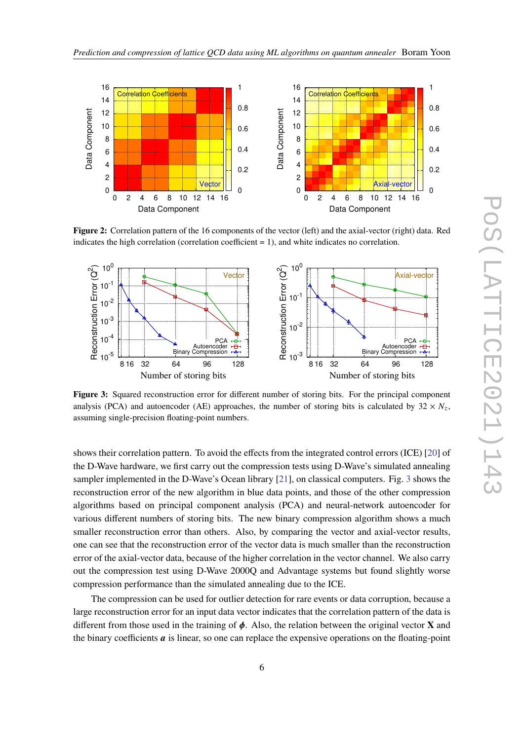<span id="page-5-0"></span>

**Figure 2:** Correlation pattern of the 16 components of the vector (left) and the axial-vector (right) data. Red indicates the high correlation (correlation coefficient  $= 1$ ), and white indicates no correlation.

<span id="page-5-1"></span>

**Figure 3:** Squared reconstruction error for different number of storing bits. For the principal component analysis (PCA) and autoencoder (AE) approaches, the number of storing bits is calculated by  $32 \times N_z$ , assuming single-precision floating-point numbers.

shows their correlation pattern. To avoid the effects from the integrated control errors (ICE) [\[20\]](#page-8-4) of the D-Wave hardware, we first carry out the compression tests using D-Wave's simulated annealing sampler implemented in the D-Wave's Ocean library [\[21\]](#page-8-5), on classical computers. Fig. [3](#page-5-1) shows the reconstruction error of the new algorithm in blue data points, and those of the other compression algorithms based on principal component analysis (PCA) and neural-network autoencoder for various different numbers of storing bits. The new binary compression algorithm shows a much smaller reconstruction error than others. Also, by comparing the vector and axial-vector results, one can see that the reconstruction error of the vector data is much smaller than the reconstruction error of the axial-vector data, because of the higher correlation in the vector channel. We also carry out the compression test using D-Wave 2000Q and Advantage systems but found slightly worse compression performance than the simulated annealing due to the ICE.

The compression can be used for outlier detection for rare events or data corruption, because a large reconstruction error for an input data vector indicates that the correlation pattern of the data is different from those used in the training of  $\phi$ . Also, the relation between the original vector **X** and the binary coefficients  $\alpha$  is linear, so one can replace the expensive operations on the floating-point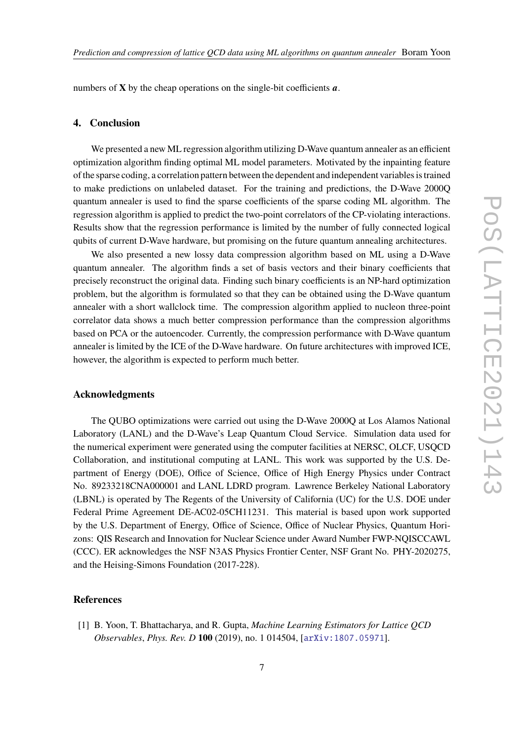numbers of  $X$  by the cheap operations on the single-bit coefficients  $a$ .

#### **4. Conclusion**

We presented a new ML regression algorithm utilizing D-Wave quantum annealer as an efficient optimization algorithm finding optimal ML model parameters. Motivated by the inpainting feature of the sparse coding, a correlation pattern between the dependent and independent variables is trained to make predictions on unlabeled dataset. For the training and predictions, the D-Wave 2000Q quantum annealer is used to find the sparse coefficients of the sparse coding ML algorithm. The regression algorithm is applied to predict the two-point correlators of the CP-violating interactions. Results show that the regression performance is limited by the number of fully connected logical qubits of current D-Wave hardware, but promising on the future quantum annealing architectures.

We also presented a new lossy data compression algorithm based on ML using a D-Wave quantum annealer. The algorithm finds a set of basis vectors and their binary coefficients that precisely reconstruct the original data. Finding such binary coefficients is an NP-hard optimization problem, but the algorithm is formulated so that they can be obtained using the D-Wave quantum annealer with a short wallclock time. The compression algorithm applied to nucleon three-point correlator data shows a much better compression performance than the compression algorithms based on PCA or the autoencoder. Currently, the compression performance with D-Wave quantum annealer is limited by the ICE of the D-Wave hardware. On future architectures with improved ICE, however, the algorithm is expected to perform much better.

#### **Acknowledgments**

The QUBO optimizations were carried out using the D-Wave 2000Q at Los Alamos National Laboratory (LANL) and the D-Wave's Leap Quantum Cloud Service. Simulation data used for the numerical experiment were generated using the computer facilities at NERSC, OLCF, USQCD Collaboration, and institutional computing at LANL. This work was supported by the U.S. Department of Energy (DOE), Office of Science, Office of High Energy Physics under Contract No. 89233218CNA000001 and LANL LDRD program. Lawrence Berkeley National Laboratory (LBNL) is operated by The Regents of the University of California (UC) for the U.S. DOE under Federal Prime Agreement DE-AC02-05CH11231. This material is based upon work supported by the U.S. Department of Energy, Office of Science, Office of Nuclear Physics, Quantum Horizons: QIS Research and Innovation for Nuclear Science under Award Number FWP-NQISCCAWL (CCC). ER acknowledges the NSF N3AS Physics Frontier Center, NSF Grant No. PHY-2020275, and the Heising-Simons Foundation (2017-228).

### **References**

<span id="page-6-0"></span>[1] B. Yoon, T. Bhattacharya, and R. Gupta, *Machine Learning Estimators for Lattice QCD Observables*, *Phys. Rev. D* **100** (2019), no. 1 014504, [[arXiv:1807.05971](http://arxiv.org/abs/1807.05971)].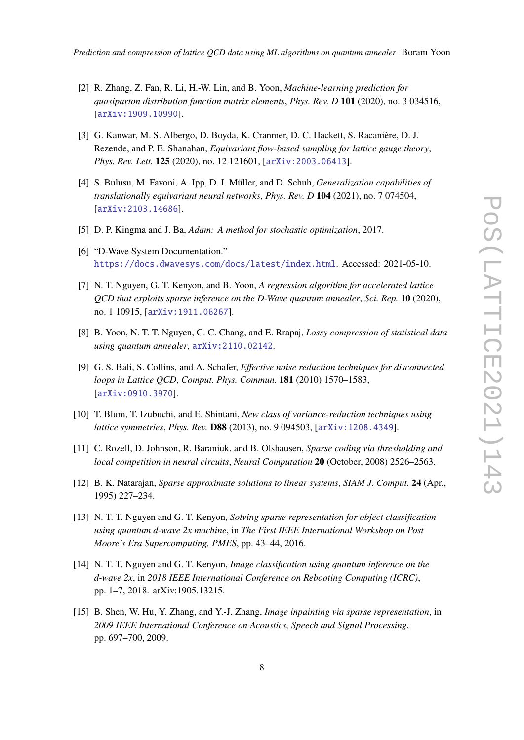- <span id="page-7-5"></span>[2] R. Zhang, Z. Fan, R. Li, H.-W. Lin, and B. Yoon, *Machine-learning prediction for quasiparton distribution function matrix elements*, *Phys. Rev. D* **101** (2020), no. 3 034516, [[arXiv:1909.10990](http://arxiv.org/abs/1909.10990)].
- [3] G. Kanwar, M. S. Albergo, D. Boyda, K. Cranmer, D. C. Hackett, S. Racanière, D. J. Rezende, and P. E. Shanahan, *Equivariant flow-based sampling for lattice gauge theory*, *Phys. Rev. Lett.* **125** (2020), no. 12 121601, [[arXiv:2003.06413](http://arxiv.org/abs/2003.06413)].
- <span id="page-7-0"></span>[4] S. Bulusu, M. Favoni, A. Ipp, D. I. Müller, and D. Schuh, *Generalization capabilities of translationally equivariant neural networks*, *Phys. Rev. D* **104** (2021), no. 7 074504, [[arXiv:2103.14686](http://arxiv.org/abs/2103.14686)].
- <span id="page-7-1"></span>[5] D. P. Kingma and J. Ba, *Adam: A method for stochastic optimization*, 2017.
- <span id="page-7-2"></span>[6] "D-Wave System Documentation." <https://docs.dwavesys.com/docs/latest/index.html>. Accessed: 2021-05-10.
- <span id="page-7-3"></span>[7] N. T. Nguyen, G. T. Kenyon, and B. Yoon, *A regression algorithm for accelerated lattice QCD that exploits sparse inference on the D-Wave quantum annealer*, *Sci. Rep.* **10** (2020), no. 1 10915, [[arXiv:1911.06267](http://arxiv.org/abs/1911.06267)].
- <span id="page-7-4"></span>[8] B. Yoon, N. T. T. Nguyen, C. C. Chang, and E. Rrapaj, *Lossy compression of statistical data using quantum annealer*, [arXiv:2110.02142](http://arxiv.org/abs/2110.02142).
- <span id="page-7-6"></span>[9] G. S. Bali, S. Collins, and A. Schafer, *Effective noise reduction techniques for disconnected loops in Lattice QCD*, *Comput. Phys. Commun.* **181** (2010) 1570–1583, [[arXiv:0910.3970](http://arxiv.org/abs/0910.3970)].
- <span id="page-7-7"></span>[10] T. Blum, T. Izubuchi, and E. Shintani, *New class of variance-reduction techniques using lattice symmetries*, *Phys. Rev.* **D88** (2013), no. 9 094503, [[arXiv:1208.4349](http://arxiv.org/abs/1208.4349)].
- <span id="page-7-8"></span>[11] C. Rozell, D. Johnson, R. Baraniuk, and B. Olshausen, *Sparse coding via thresholding and local competition in neural circuits*, *Neural Computation* **20** (October, 2008) 2526–2563.
- <span id="page-7-9"></span>[12] B. K. Natarajan, *Sparse approximate solutions to linear systems*, *SIAM J. Comput.* **24** (Apr., 1995) 227–234.
- <span id="page-7-10"></span>[13] N. T. T. Nguyen and G. T. Kenyon, *Solving sparse representation for object classification using quantum d-wave 2x machine*, in *The First IEEE International Workshop on Post Moore's Era Supercomputing, PMES*, pp. 43–44, 2016.
- <span id="page-7-11"></span>[14] N. T. T. Nguyen and G. T. Kenyon, *Image classification using quantum inference on the d-wave 2x*, in *2018 IEEE International Conference on Rebooting Computing (ICRC)*, pp. 1–7, 2018. arXiv:1905.13215.
- <span id="page-7-12"></span>[15] B. Shen, W. Hu, Y. Zhang, and Y.-J. Zhang, *Image inpainting via sparse representation*, in *2009 IEEE International Conference on Acoustics, Speech and Signal Processing*, pp. 697–700, 2009.